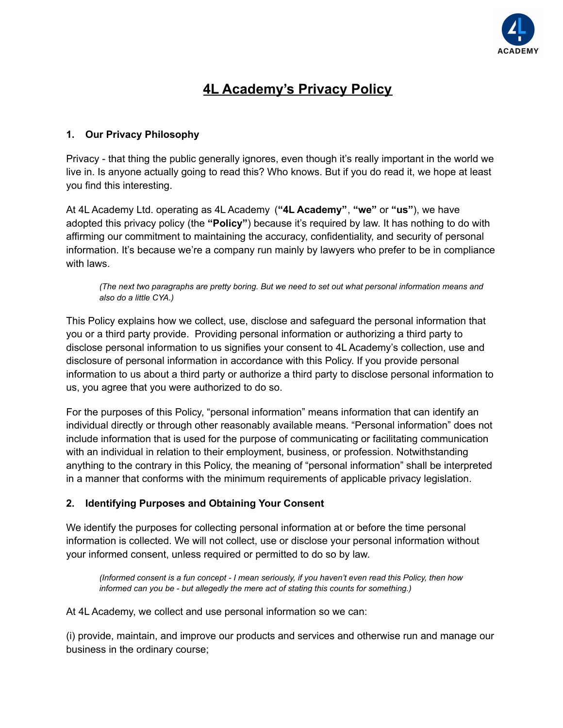

# **4L Academy's Privacy Policy**

## **1. Our Privacy Philosophy**

Privacy - that thing the public generally ignores, even though it's really important in the world we live in. Is anyone actually going to read this? Who knows. But if you do read it, we hope at least you find this interesting.

At 4L Academy Ltd. operating as 4L Academy (**"4L Academy"**, **"we"** or **"us"**), we have adopted this privacy policy (the **"Policy"**) because it's required by law. It has nothing to do with affirming our commitment to maintaining the accuracy, confidentiality, and security of personal information. It's because we're a company run mainly by lawyers who prefer to be in compliance with laws.

*(The next two paragraphs are pretty boring. But we need to set out what personal information means and also do a little CYA.)*

This Policy explains how we collect, use, disclose and safeguard the personal information that you or a third party provide. Providing personal information or authorizing a third party to disclose personal information to us signifies your consent to 4L Academy's collection, use and disclosure of personal information in accordance with this Policy. If you provide personal information to us about a third party or authorize a third party to disclose personal information to us, you agree that you were authorized to do so.

For the purposes of this Policy, "personal information" means information that can identify an individual directly or through other reasonably available means. "Personal information" does not include information that is used for the purpose of communicating or facilitating communication with an individual in relation to their employment, business, or profession. Notwithstanding anything to the contrary in this Policy, the meaning of "personal information" shall be interpreted in a manner that conforms with the minimum requirements of applicable privacy legislation.

## **2. Identifying Purposes and Obtaining Your Consent**

We identify the purposes for collecting personal information at or before the time personal information is collected. We will not collect, use or disclose your personal information without your informed consent, unless required or permitted to do so by law.

*(Informed consent is a fun concept - I mean seriously, if you haven't even read this Policy, then how informed can you be - but allegedly the mere act of stating this counts for something.)*

At 4L Academy, we collect and use personal information so we can:

(i) provide, maintain, and improve our products and services and otherwise run and manage our business in the ordinary course;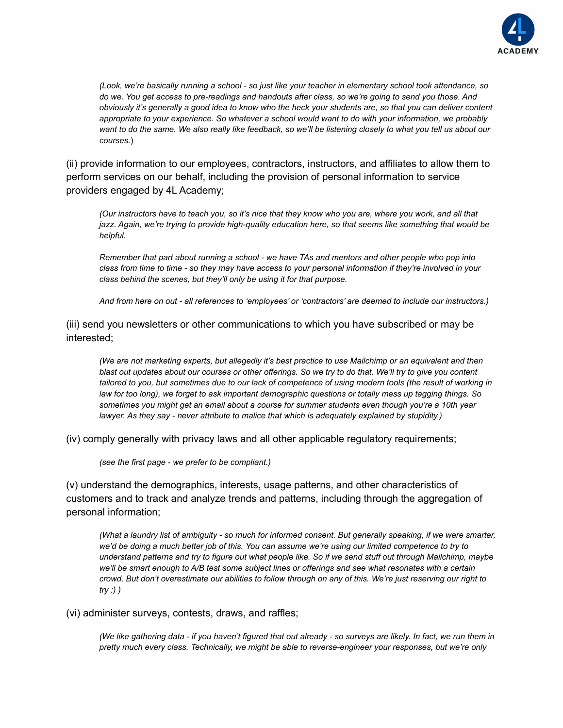

*(Look, we're basically running a school - so just like your teacher in elementary school took attendance, so do we. You get access to pre-readings and handouts after class, so we're going to send you those. And obviously it's generally a good idea to know who the heck your students are, so that you can deliver content appropriate to your experience. So whatever a school would want to do with your information, we probably want to do the same. We also really like feedback, so we'll be listening closely to what you tell us about our courses.*)

(ii) provide information to our employees, contractors, instructors, and affiliates to allow them to perform services on our behalf, including the provision of personal information to service providers engaged by 4L Academy;

*(Our instructors have to teach you, so it's nice that they know who you are, where you work, and all that jazz. Again, we're trying to provide high-quality education here, so that seems like something that would be helpful.*

*Remember that part about running a school - we have TAs and mentors and other people who pop into class from time to time - so they may have access to your personal information if they're involved in your class behind the scenes, but they'll only be using it for that purpose.*

*And from here on out - all references to 'employees' or 'contractors' are deemed to include our instructors.)*

(iii) send you newsletters or other communications to which you have subscribed or may be interested;

*(We are not marketing experts, but allegedly it's best practice to use Mailchimp or an equivalent and then blast out updates about our courses or other offerings. So we try to do that. We'll try to give you content tailored to you, but sometimes due to our lack of competence of using modern tools (the result of working in law for too long), we forget to ask important demographic questions or totally mess up tagging things. So sometimes you might get an email about a course for summer students even though you're a 10th year lawyer. As they say - never attribute to malice that which is adequately explained by stupidity.)*

(iv) comply generally with privacy laws and all other applicable regulatory requirements;

*(see the first page - we prefer to be compliant.)*

(v) understand the demographics, interests, usage patterns, and other characteristics of customers and to track and analyze trends and patterns, including through the aggregation of personal information;

*(What a laundry list of ambiguity - so much for informed consent. But generally speaking, if we were smarter, we'd be doing a much better job of this. You can assume we're using our limited competence to try to understand patterns and try to figure out what people like. So if we send stuff out through Mailchimp, maybe we'll be smart enough to A/B test some subject lines or offerings and see what resonates with a certain crowd. But don't overestimate our abilities to follow through on any of this. We're just reserving our right to try :) )*

#### (vi) administer surveys, contests, draws, and raffles;

*(We like gathering data - if you haven't figured that out already - so surveys are likely. In fact, we run them in pretty much every class. Technically, we might be able to reverse-engineer your responses, but we're only*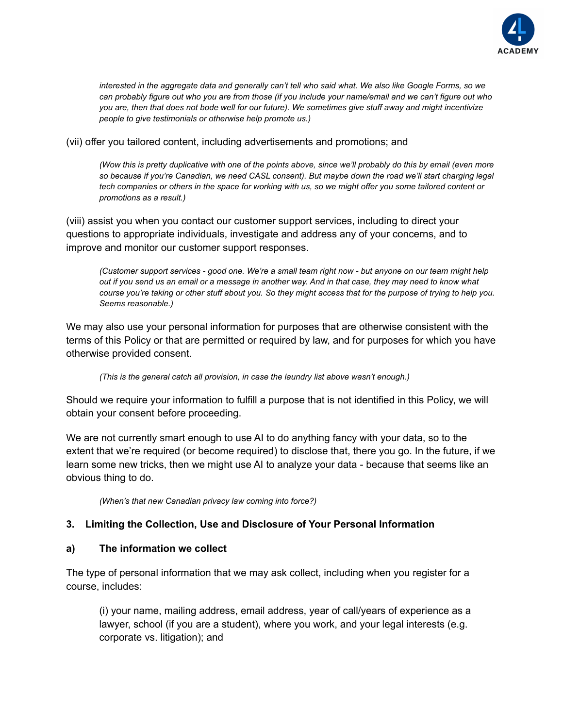

*interested in the aggregate data and generally can't tell who said what. We also like Google Forms, so we can probably figure out who you are from those (if you include your name/email and we can't figure out who you are, then that does not bode well for our future). We sometimes give stuff away and might incentivize people to give testimonials or otherwise help promote us.)*

(vii) offer you tailored content, including advertisements and promotions; and

*(Wow this is pretty duplicative with one of the points above, since we'll probably do this by email (even more so because if you're Canadian, we need CASL consent). But maybe down the road we'll start charging legal tech companies or others in the space for working with us, so we might offer you some tailored content or promotions as a result.)*

(viii) assist you when you contact our customer support services, including to direct your questions to appropriate individuals, investigate and address any of your concerns, and to improve and monitor our customer support responses.

*(Customer support services - good one. We're a small team right now - but anyone on our team might help out if you send us an email or a message in another way. And in that case, they may need to know what course you're taking or other stuff about you. So they might access that for the purpose of trying to help you. Seems reasonable.)*

We may also use your personal information for purposes that are otherwise consistent with the terms of this Policy or that are permitted or required by law, and for purposes for which you have otherwise provided consent.

*(This is the general catch all provision, in case the laundry list above wasn't enough.)*

Should we require your information to fulfill a purpose that is not identified in this Policy, we will obtain your consent before proceeding.

We are not currently smart enough to use AI to do anything fancy with your data, so to the extent that we're required (or become required) to disclose that, there you go. In the future, if we learn some new tricks, then we might use AI to analyze your data - because that seems like an obvious thing to do.

*(When's that new Canadian privacy law coming into force?)*

#### **3. Limiting the Collection, Use and Disclosure of Your Personal Information**

#### **a) The information we collect**

The type of personal information that we may ask collect, including when you register for a course, includes:

(i) your name, mailing address, email address, year of call/years of experience as a lawyer, school (if you are a student), where you work, and your legal interests (e.g. corporate vs. litigation); and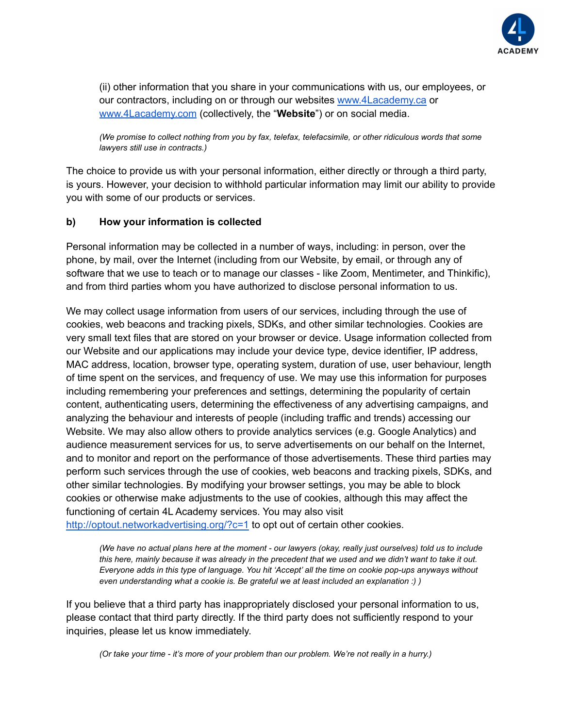

(ii) other information that you share in your communications with us, our employees, or our contractors, including on or through our website[s](http://www.swiftpost.com/) [www.4Lacademy.ca](http://www.4lacademy.ca) or [www.4Lacademy.com](http://www.4lacademy.com) (collectively, the "**Website**") or on social media.

*(We promise to collect nothing from you by fax, telefax, telefacsimile, or other ridiculous words that some lawyers still use in contracts.)*

The choice to provide us with your personal information, either directly or through a third party, is yours. However, your decision to withhold particular information may limit our ability to provide you with some of our products or services.

### **b) How your information is collected**

Personal information may be collected in a number of ways, including: in person, over the phone, by mail, over the Internet (including from our Website, by email, or through any of software that we use to teach or to manage our classes - like Zoom, Mentimeter, and Thinkific), and from third parties whom you have authorized to disclose personal information to us.

We may collect usage information from users of our services, including through the use of cookies, web beacons and tracking pixels, SDKs, and other similar technologies. Cookies are very small text files that are stored on your browser or device. Usage information collected from our Website and our applications may include your device type, device identifier, IP address, MAC address, location, browser type, operating system, duration of use, user behaviour, length of time spent on the services, and frequency of use. We may use this information for purposes including remembering your preferences and settings, determining the popularity of certain content, authenticating users, determining the effectiveness of any advertising campaigns, and analyzing the behaviour and interests of people (including traffic and trends) accessing our Website. We may also allow others to provide analytics services (e.g. Google Analytics) and audience measurement services for us, to serve advertisements on our behalf on the Internet, and to monitor and report on the performance of those advertisements. These third parties may perform such services through the use of cookies, web beacons and tracking pixels, SDKs, and other similar technologies. By modifying your browser settings, you may be able to block cookies or otherwise make adjustments to the use of cookies, although this may affect the functioning of certain 4L Academy services. You may also visit <http://optout.networkadvertising.org/?c=1> to opt out of certain other cookies.

*(We have no actual plans here at the moment - our lawyers (okay, really just ourselves) told us to include this here, mainly because it was already in the precedent that we used and we didn't want to take it out. Everyone adds in this type of language. You hit 'Accept' all the time on cookie pop-ups anyways without even understanding what a cookie is. Be grateful we at least included an explanation :) )*

If you believe that a third party has inappropriately disclosed your personal information to us, please contact that third party directly. If the third party does not sufficiently respond to your inquiries, please let us know immediately.

*(Or take your time - it's more of your problem than our problem. We're not really in a hurry.)*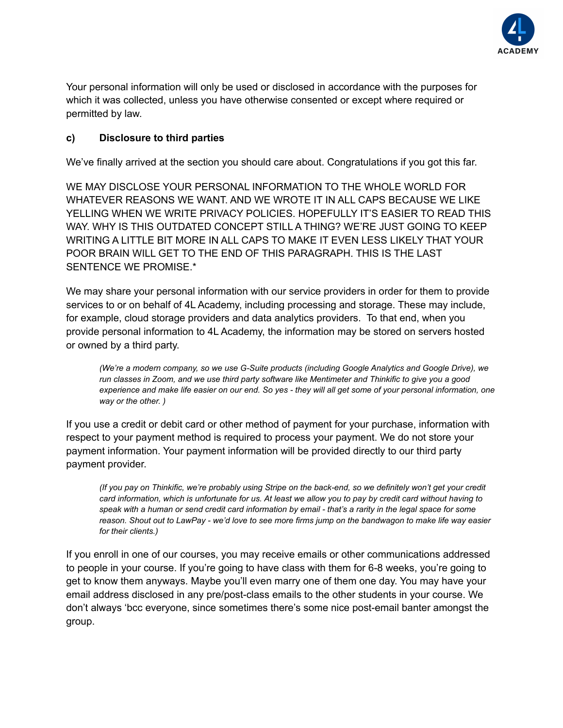

Your personal information will only be used or disclosed in accordance with the purposes for which it was collected, unless you have otherwise consented or except where required or permitted by law.

## **c) Disclosure to third parties**

We've finally arrived at the section you should care about. Congratulations if you got this far.

WE MAY DISCLOSE YOUR PERSONAL INFORMATION TO THE WHOLE WORLD FOR WHATEVER REASONS WE WANT. AND WE WROTE IT IN ALL CAPS BECAUSE WE LIKE YELLING WHEN WE WRITE PRIVACY POLICIES. HOPEFULLY IT'S EASIER TO READ THIS WAY. WHY IS THIS OUTDATED CONCEPT STILL A THING? WE'RE JUST GOING TO KEEP WRITING A LITTLE BIT MORE IN ALL CAPS TO MAKE IT EVEN LESS LIKELY THAT YOUR POOR BRAIN WILL GET TO THE END OF THIS PARAGRAPH. THIS IS THE LAST SENTENCE WE PROMISE.\*

We may share your personal information with our service providers in order for them to provide services to or on behalf of 4L Academy, including processing and storage. These may include, for example, cloud storage providers and data analytics providers. To that end, when you provide personal information to 4L Academy, the information may be stored on servers hosted or owned by a third party.

*(We're a modern company, so we use G-Suite products (including Google Analytics and Google Drive), we run classes in Zoom, and we use third party software like Mentimeter and Thinkific to give you a good experience and make life easier on our end. So yes - they will all get some of your personal information, one way or the other. )*

If you use a credit or debit card or other method of payment for your purchase, information with respect to your payment method is required to process your payment. We do not store your payment information. Your payment information will be provided directly to our third party payment provider.

*(If you pay on Thinkific, we're probably using Stripe on the back-end, so we definitely won't get your credit card information, which is unfortunate for us. At least we allow you to pay by credit card without having to speak with a human or send credit card information by email - that's a rarity in the legal space for some reason. Shout out to LawPay - we'd love to see more firms jump on the bandwagon to make life way easier for their clients.)*

If you enroll in one of our courses, you may receive emails or other communications addressed to people in your course. If you're going to have class with them for 6-8 weeks, you're going to get to know them anyways. Maybe you'll even marry one of them one day. You may have your email address disclosed in any pre/post-class emails to the other students in your course. We don't always 'bcc everyone, since sometimes there's some nice post-email banter amongst the group.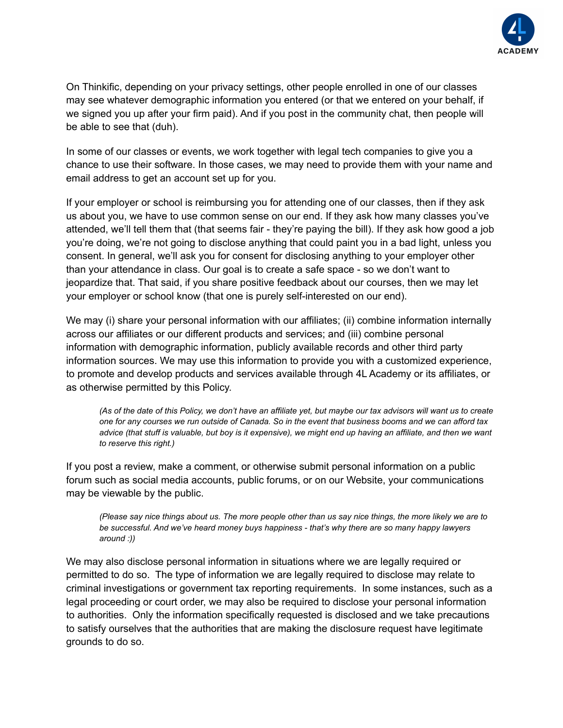

On Thinkific, depending on your privacy settings, other people enrolled in one of our classes may see whatever demographic information you entered (or that we entered on your behalf, if we signed you up after your firm paid). And if you post in the community chat, then people will be able to see that (duh).

In some of our classes or events, we work together with legal tech companies to give you a chance to use their software. In those cases, we may need to provide them with your name and email address to get an account set up for you.

If your employer or school is reimbursing you for attending one of our classes, then if they ask us about you, we have to use common sense on our end. If they ask how many classes you've attended, we'll tell them that (that seems fair - they're paying the bill). If they ask how good a job you're doing, we're not going to disclose anything that could paint you in a bad light, unless you consent. In general, we'll ask you for consent for disclosing anything to your employer other than your attendance in class. Our goal is to create a safe space - so we don't want to jeopardize that. That said, if you share positive feedback about our courses, then we may let your employer or school know (that one is purely self-interested on our end).

We may (i) share your personal information with our affiliates; (ii) combine information internally across our affiliates or our different products and services; and (iii) combine personal information with demographic information, publicly available records and other third party information sources. We may use this information to provide you with a customized experience, to promote and develop products and services available through 4L Academy or its affiliates, or as otherwise permitted by this Policy.

*(As of the date of this Policy, we don't have an affiliate yet, but maybe our tax advisors will want us to create one for any courses we run outside of Canada. So in the event that business booms and we can afford tax advice (that stuff is valuable, but boy is it expensive), we might end up having an affiliate, and then we want to reserve this right.)*

If you post a review, make a comment, or otherwise submit personal information on a public forum such as social media accounts, public forums, or on our Website, your communications may be viewable by the public.

*(Please say nice things about us. The more people other than us say nice things, the more likely we are to be successful. And we've heard money buys happiness - that's why there are so many happy lawyers around :))*

We may also disclose personal information in situations where we are legally required or permitted to do so. The type of information we are legally required to disclose may relate to criminal investigations or government tax reporting requirements. In some instances, such as a legal proceeding or court order, we may also be required to disclose your personal information to authorities. Only the information specifically requested is disclosed and we take precautions to satisfy ourselves that the authorities that are making the disclosure request have legitimate grounds to do so.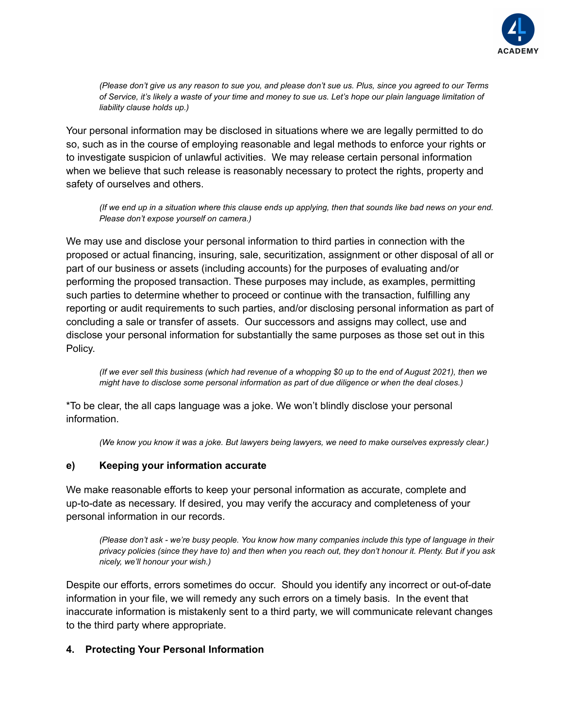

*(Please don't give us any reason to sue you, and please don't sue us. Plus, since you agreed to our Terms of Service, it's likely a waste of your time and money to sue us. Let's hope our plain language limitation of liability clause holds up.)*

Your personal information may be disclosed in situations where we are legally permitted to do so, such as in the course of employing reasonable and legal methods to enforce your rights or to investigate suspicion of unlawful activities. We may release certain personal information when we believe that such release is reasonably necessary to protect the rights, property and safety of ourselves and others.

*(If we end up in a situation where this clause ends up applying, then that sounds like bad news on your end. Please don't expose yourself on camera.)*

We may use and disclose your personal information to third parties in connection with the proposed or actual financing, insuring, sale, securitization, assignment or other disposal of all or part of our business or assets (including accounts) for the purposes of evaluating and/or performing the proposed transaction. These purposes may include, as examples, permitting such parties to determine whether to proceed or continue with the transaction, fulfilling any reporting or audit requirements to such parties, and/or disclosing personal information as part of concluding a sale or transfer of assets. Our successors and assigns may collect, use and disclose your personal information for substantially the same purposes as those set out in this Policy.

*(If we ever sell this business (which had revenue of a whopping \$0 up to the end of August 2021), then we might have to disclose some personal information as part of due diligence or when the deal closes.)*

\*To be clear, the all caps language was a joke. We won't blindly disclose your personal information.

*(We know you know it was a joke. But lawyers being lawyers, we need to make ourselves expressly clear.)*

#### **e) Keeping your information accurate**

We make reasonable efforts to keep your personal information as accurate, complete and up-to-date as necessary. If desired, you may verify the accuracy and completeness of your personal information in our records.

*(Please don't ask - we're busy people. You know how many companies include this type of language in their privacy policies (since they have to) and then when you reach out, they don't honour it. Plenty. But if you ask nicely, we'll honour your wish.)*

Despite our efforts, errors sometimes do occur. Should you identify any incorrect or out-of-date information in your file, we will remedy any such errors on a timely basis. In the event that inaccurate information is mistakenly sent to a third party, we will communicate relevant changes to the third party where appropriate.

#### **4. Protecting Your Personal Information**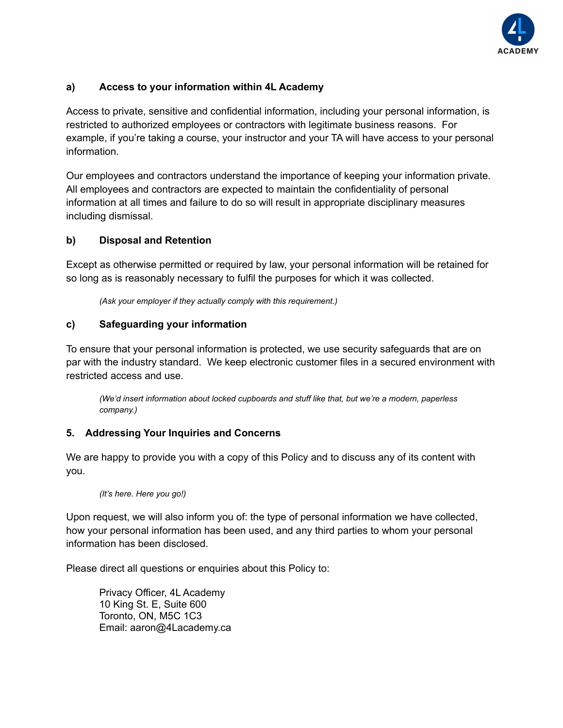

## **a) Access to your information within 4L Academy**

Access to private, sensitive and confidential information, including your personal information, is restricted to authorized employees or contractors with legitimate business reasons. For example, if you're taking a course, your instructor and your TA will have access to your personal information.

Our employees and contractors understand the importance of keeping your information private. All employees and contractors are expected to maintain the confidentiality of personal information at all times and failure to do so will result in appropriate disciplinary measures including dismissal.

### **b) Disposal and Retention**

Except as otherwise permitted or required by law, your personal information will be retained for so long as is reasonably necessary to fulfil the purposes for which it was collected.

*(Ask your employer if they actually comply with this requirement.)*

#### **c) Safeguarding your information**

To ensure that your personal information is protected, we use security safeguards that are on par with the industry standard. We keep electronic customer files in a secured environment with restricted access and use.

*(We'd insert information about locked cupboards and stuff like that, but we're a modern, paperless company.)*

#### **5. Addressing Your Inquiries and Concerns**

We are happy to provide you with a copy of this Policy and to discuss any of its content with you.

*(It's here. Here you go!)*

Upon request, we will also inform you of: the type of personal information we have collected, how your personal information has been used, and any third parties to whom your personal information has been disclosed.

Please direct all questions or enquiries about this Policy to:

Privacy Officer, 4L Academy 10 King St. E, Suite 600 Toronto, ON, M5C 1C3 Email: aaron@4Lacademy.ca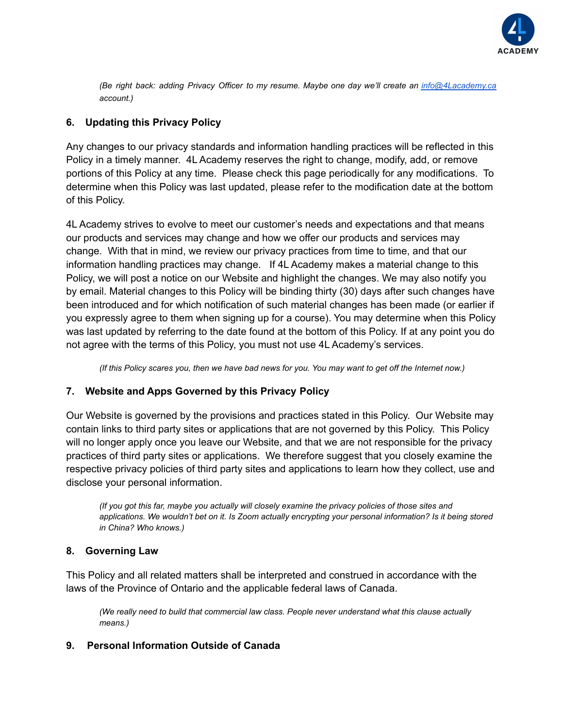

*(Be right back: adding Privacy Officer to my resume. Maybe one day we'll create an [info@4Lacademy.ca](mailto:info@4Lacademy.ca) account.)*

## **6. Updating this Privacy Policy**

Any changes to our privacy standards and information handling practices will be reflected in this Policy in a timely manner. 4L Academy reserves the right to change, modify, add, or remove portions of this Policy at any time. Please check this page periodically for any modifications. To determine when this Policy was last updated, please refer to the modification date at the bottom of this Policy.

4L Academy strives to evolve to meet our customer's needs and expectations and that means our products and services may change and how we offer our products and services may change. With that in mind, we review our privacy practices from time to time, and that our information handling practices may change. If 4L Academy makes a material change to this Policy, we will post a notice on our Website and highlight the changes. We may also notify you by email. Material changes to this Policy will be binding thirty (30) days after such changes have been introduced and for which notification of such material changes has been made (or earlier if you expressly agree to them when signing up for a course). You may determine when this Policy was last updated by referring to the date found at the bottom of this Policy. If at any point you do not agree with the terms of this Policy, you must not use 4L Academy's services.

*(If this Policy scares you, then we have bad news for you. You may want to get off the Internet now.)*

## **7. Website and Apps Governed by this Privacy Policy**

Our Website is governed by the provisions and practices stated in this Policy. Our Website may contain links to third party sites or applications that are not governed by this Policy. This Policy will no longer apply once you leave our Website, and that we are not responsible for the privacy practices of third party sites or applications. We therefore suggest that you closely examine the respective privacy policies of third party sites and applications to learn how they collect, use and disclose your personal information.

*(If you got this far, maybe you actually will closely examine the privacy policies of those sites and applications. We wouldn't bet on it. Is Zoom actually encrypting your personal information? Is it being stored in China? Who knows.)*

## **8. Governing Law**

This Policy and all related matters shall be interpreted and construed in accordance with the laws of the Province of Ontario and the applicable federal laws of Canada.

*(We really need to build that commercial law class. People never understand what this clause actually means.)*

## **9. Personal Information Outside of Canada**